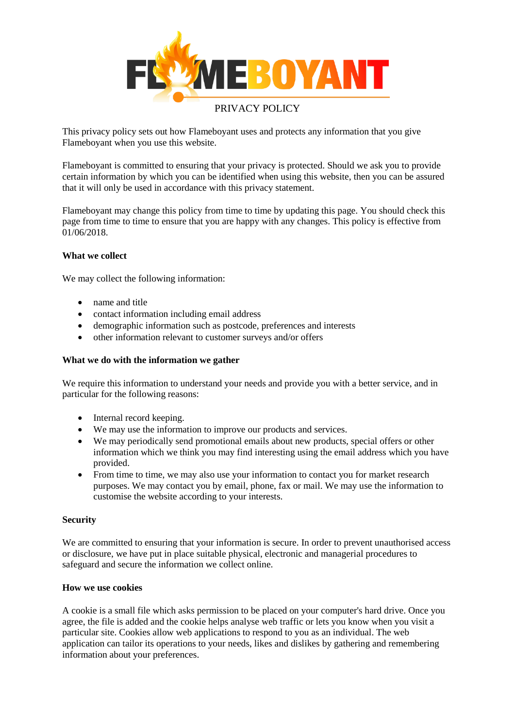

This privacy policy sets out how Flameboyant uses and protects any information that you give Flameboyant when you use this website.

Flameboyant is committed to ensuring that your privacy is protected. Should we ask you to provide certain information by which you can be identified when using this website, then you can be assured that it will only be used in accordance with this privacy statement.

Flameboyant may change this policy from time to time by updating this page. You should check this page from time to time to ensure that you are happy with any changes. This policy is effective from 01/06/2018.

# **What we collect**

We may collect the following information:

- name and title
- contact information including email address
- demographic information such as postcode, preferences and interests
- other information relevant to customer surveys and/or offers

## **What we do with the information we gather**

We require this information to understand your needs and provide you with a better service, and in particular for the following reasons:

- Internal record keeping.
- We may use the information to improve our products and services.
- We may periodically send promotional emails about new products, special offers or other information which we think you may find interesting using the email address which you have provided.
- From time to time, we may also use your information to contact you for market research purposes. We may contact you by email, phone, fax or mail. We may use the information to customise the website according to your interests.

## **Security**

We are committed to ensuring that your information is secure. In order to prevent unauthorised access or disclosure, we have put in place suitable physical, electronic and managerial procedures to safeguard and secure the information we collect online.

## **How we use cookies**

A cookie is a small file which asks permission to be placed on your computer's hard drive. Once you agree, the file is added and the cookie helps analyse web traffic or lets you know when you visit a particular site. Cookies allow web applications to respond to you as an individual. The web application can tailor its operations to your needs, likes and dislikes by gathering and remembering information about your preferences.